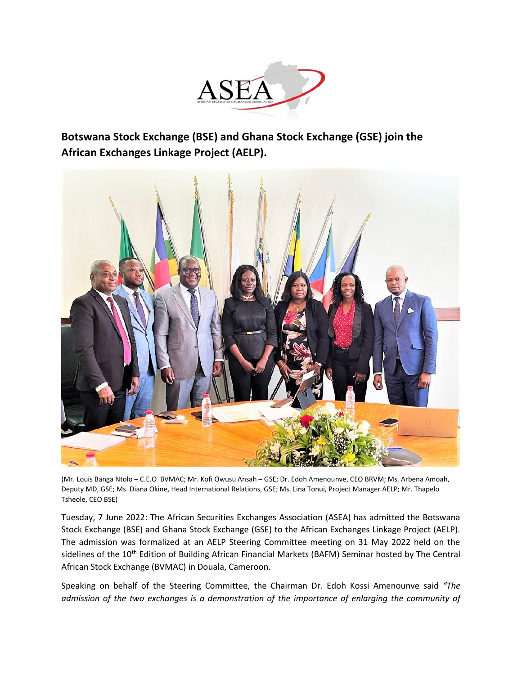

**Botswana Stock Exchange (BSE) and Ghana Stock Exchange (GSE) join the African Exchanges Linkage Project (AELP).**



(Mr. Louis Banga Ntolo – C.E.O BVMAC; Mr. Kofi Owusu Ansah – GSE; Dr. Edoh Amenounve, CEO BRVM; Ms. Arbena Amoah, Deputy MD, GSE; Ms. Diana Okine, Head International Relations, GSE; Ms. Lina Tonui, Project Manager AELP; Mr. Thapelo Tsheole, CEO BSE)

Tuesday, 7 June 2022: The African Securities Exchanges Association (ASEA) has admitted the Botswana Stock Exchange (BSE) and Ghana Stock Exchange (GSE) to the African Exchanges Linkage Project (AELP). The admission was formalized at an AELP Steering Committee meeting on 31 May 2022 held on the sidelines of the 10<sup>th</sup> Edition of Building African Financial Markets (BAFM) Seminar hosted by The Central African Stock Exchange (BVMAC) in Douala, Cameroon.

Speaking on behalf of the Steering Committee, the Chairman Dr. Edoh Kossi Amenounve said *"The admission of the two exchanges is a demonstration of the importance of enlarging the community of*